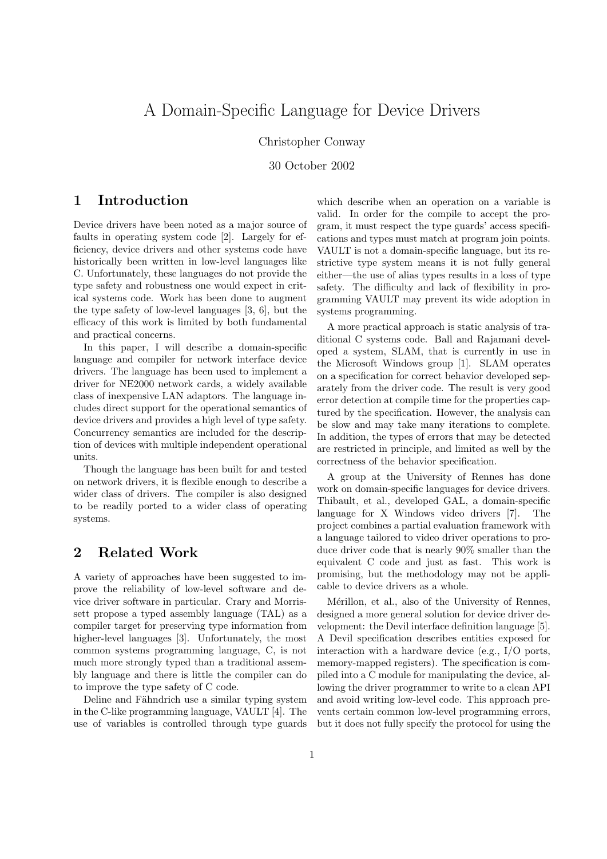## A Domain-Specific Language for Device Drivers

Christopher Conway

30 October 2002

## 1 Introduction

Device drivers have been noted as a major source of faults in operating system code [2]. Largely for efficiency, device drivers and other systems code have historically been written in low-level languages like C. Unfortunately, these languages do not provide the type safety and robustness one would expect in critical systems code. Work has been done to augment the type safety of low-level languages [3, 6], but the efficacy of this work is limited by both fundamental and practical concerns.

In this paper, I will describe a domain-specific language and compiler for network interface device drivers. The language has been used to implement a driver for NE2000 network cards, a widely available class of inexpensive LAN adaptors. The language includes direct support for the operational semantics of device drivers and provides a high level of type safety. Concurrency semantics are included for the description of devices with multiple independent operational units.

Though the language has been built for and tested on network drivers, it is flexible enough to describe a wider class of drivers. The compiler is also designed to be readily ported to a wider class of operating systems.

## 2 Related Work

A variety of approaches have been suggested to improve the reliability of low-level software and device driver software in particular. Crary and Morrissett propose a typed assembly language (TAL) as a compiler target for preserving type information from higher-level languages [3]. Unfortunately, the most common systems programming language, C, is not much more strongly typed than a traditional assembly language and there is little the compiler can do to improve the type safety of C code.

Deline and Fähndrich use a similar typing system in the C-like programming language, VAULT [4]. The use of variables is controlled through type guards

which describe when an operation on a variable is valid. In order for the compile to accept the program, it must respect the type guards' access specifications and types must match at program join points. VAULT is not a domain-specific language, but its restrictive type system means it is not fully general either—the use of alias types results in a loss of type safety. The difficulty and lack of flexibility in programming VAULT may prevent its wide adoption in systems programming.

A more practical approach is static analysis of traditional C systems code. Ball and Rajamani developed a system, SLAM, that is currently in use in the Microsoft Windows group [1]. SLAM operates on a specification for correct behavior developed separately from the driver code. The result is very good error detection at compile time for the properties captured by the specification. However, the analysis can be slow and may take many iterations to complete. In addition, the types of errors that may be detected are restricted in principle, and limited as well by the correctness of the behavior specification.

A group at the University of Rennes has done work on domain-specific languages for device drivers. Thibault, et al., developed GAL, a domain-specific language for X Windows video drivers [7]. The project combines a partial evaluation framework with a language tailored to video driver operations to produce driver code that is nearly 90% smaller than the equivalent C code and just as fast. This work is promising, but the methodology may not be applicable to device drivers as a whole.

Mérillon, et al., also of the University of Rennes, designed a more general solution for device driver development: the Devil interface definition language [5]. A Devil specification describes entities exposed for interaction with a hardware device (e.g., I/O ports, memory-mapped registers). The specification is compiled into a C module for manipulating the device, allowing the driver programmer to write to a clean API and avoid writing low-level code. This approach prevents certain common low-level programming errors, but it does not fully specify the protocol for using the